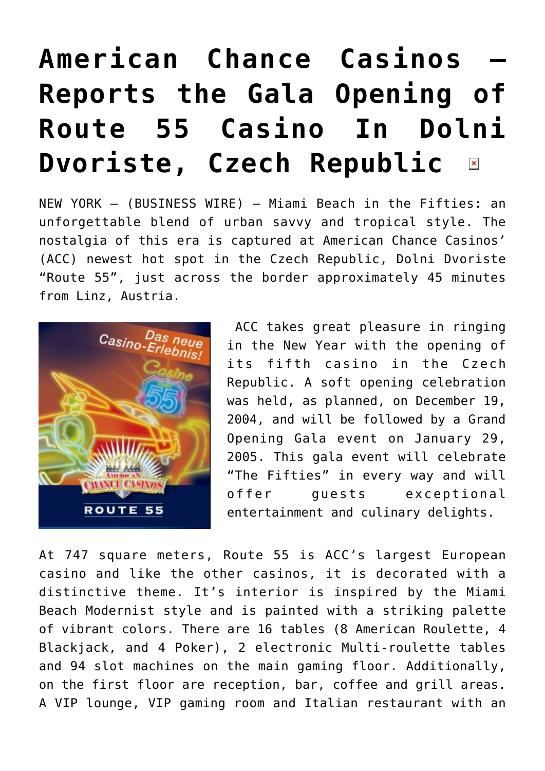## **[American Chance Casinos –](https://www.isa-guide.de/english-news/articles/7974.html) [Reports the Gala Opening of](https://www.isa-guide.de/english-news/articles/7974.html) [Route 55 Casino In Dolni](https://www.isa-guide.de/english-news/articles/7974.html) [Dvoriste, Czech Republic](https://www.isa-guide.de/english-news/articles/7974.html)**   $\pmb{\times}$

NEW YORK – (BUSINESS WIRE) – Miami Beach in the Fifties: an unforgettable blend of urban savvy and tropical style. The nostalgia of this era is captured at American Chance Casinos' (ACC) newest hot spot in the Czech Republic, Dolni Dvoriste "Route 55", just across the border approximately 45 minutes from Linz, Austria.



ACC takes great pleasure in ringing in the New Year with the opening of its fifth casino in the Czech Republic. A soft opening celebration was held, as planned, on December 19, 2004, and will be followed by a Grand Opening Gala event on January 29, 2005. This gala event will celebrate "The Fifties" in every way and will offer guests exceptional entertainment and culinary delights.

At 747 square meters, Route 55 is ACC's largest European casino and like the other casinos, it is decorated with a distinctive theme. It's interior is inspired by the Miami Beach Modernist style and is painted with a striking palette of vibrant colors. There are 16 tables (8 American Roulette, 4 Blackjack, and 4 Poker), 2 electronic Multi-roulette tables and 94 slot machines on the main gaming floor. Additionally, on the first floor are reception, bar, coffee and grill areas. A VIP lounge, VIP gaming room and Italian restaurant with an